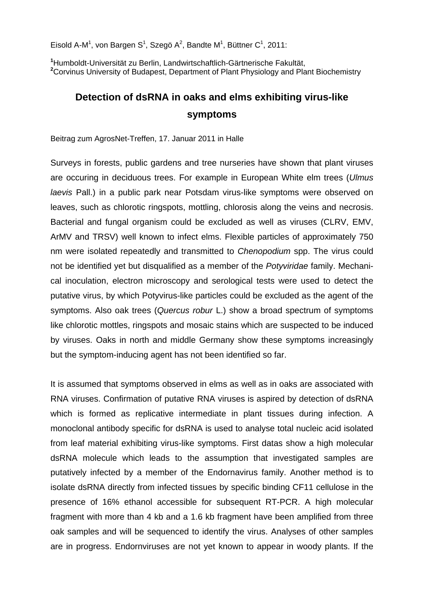Eisold A-M<sup>1</sup>, von Bargen S<sup>1</sup>, Szegö A<sup>2</sup>, Bandte M<sup>1</sup>, Büttner C<sup>1</sup>, 2011:

**1** Humboldt-Universität zu Berlin, Landwirtschaftlich-Gärtnerische Fakultät, **2** Corvinus University of Budapest, Department of Plant Physiology and Plant Biochemistry

## **Detection of dsRNA in oaks and elms exhibiting virus-like symptoms**

Beitrag zum AgrosNet-Treffen, 17. Januar 2011 in Halle

Surveys in forests, public gardens and tree nurseries have shown that plant viruses are occuring in deciduous trees. For example in European White elm trees (*Ulmus laevis* Pall.) in a public park near Potsdam virus-like symptoms were observed on leaves, such as chlorotic ringspots, mottling, chlorosis along the veins and necrosis. Bacterial and fungal organism could be excluded as well as viruses (CLRV, EMV, ArMV and TRSV) well known to infect elms. Flexible particles of approximately 750 nm were isolated repeatedly and transmitted to *Chenopodium* spp. The virus could not be identified yet but disqualified as a member of the *Potyviridae* family. Mechanical inoculation, electron microscopy and serological tests were used to detect the putative virus, by which Potyvirus-like particles could be excluded as the agent of the symptoms. Also oak trees (*Quercus robur* L.) show a broad spectrum of symptoms like chlorotic mottles, ringspots and mosaic stains which are suspected to be induced by viruses. Oaks in north and middle Germany show these symptoms increasingly but the symptom-inducing agent has not been identified so far.

It is assumed that symptoms observed in elms as well as in oaks are associated with RNA viruses. Confirmation of putative RNA viruses is aspired by detection of dsRNA which is formed as replicative intermediate in plant tissues during infection. A monoclonal antibody specific for dsRNA is used to analyse total nucleic acid isolated from leaf material exhibiting virus-like symptoms. First datas show a high molecular dsRNA molecule which leads to the assumption that investigated samples are putatively infected by a member of the Endornavirus family. Another method is to isolate dsRNA directly from infected tissues by specific binding CF11 cellulose in the presence of 16% ethanol accessible for subsequent RT-PCR. A high molecular fragment with more than 4 kb and a 1.6 kb fragment have been amplified from three oak samples and will be sequenced to identify the virus. Analyses of other samples are in progress. Endornviruses are not yet known to appear in woody plants. If the